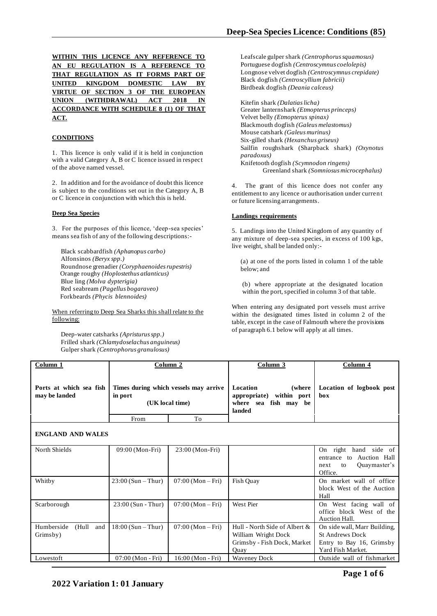| WITHIN THIS LICENCE ANY REFERENCE TO   |  |  |  |
|----------------------------------------|--|--|--|
| AN EU REGULATION IS A REFERENCE TO     |  |  |  |
| THAT REGULATION AS IT FORMS PART OF    |  |  |  |
| UNITED KINGDOM DOMESTIC LAW BY         |  |  |  |
| VIRTUE OF SECTION 3 OF THE EUROPEAN    |  |  |  |
| UNION (WITHDRAWAL) ACT 2018 IN         |  |  |  |
| ACCORDANCE WITH SCHEDULE 8 (1) OF THAT |  |  |  |
| ACT.                                   |  |  |  |

## **CONDITIONS**

1. This licence is only valid if it is held in conjunction with a valid Category A, B or C licence issued in respect of the above named vessel.

2. In addition and for the avoidance of doubt this licence is subject to the conditions set out in the Category A, B or C licence in conjunction with which this is held.

#### **Deep Sea Species**

3. For the purposes of this licence, 'deep-sea species' means sea fish of any of the following descriptions:-

Black scabbardfish *(Aphanopus carbo)* Alfonsinos *(Beryx spp.)* Roundnose grenadier *(Coryphaenoides rupestris)* Orange roughy *(Hoplostethus atlanticus)* Blue ling *(Molva dypterigia)* Red seabream *(Pagellus bogaraveo)* Forkbeards *(Phycis blennoides)*

## When referring to Deep Sea Sharks this shall relate to the following:

Deep-water catsharks *(Apristurus spp.)* Frilled shark *(Chlamydoselachus anguineus)* Gulper shark *(Centrophorus granulosus)*

Leafscale gulper shark *(Centrophorus squamosus)* Portuguese dogfish *(Centroscymnus coelolepis)* Longnose velvet dogfish *(Centroscymnus crepidate)* Black dogfish *(Centroscyllium fabricii)* Birdbeak dogfish *(Deania calceus)*

Kitefin shark *(Dalatias licha)* Greater lanternshark *(Etmopterus princeps)* Velvet belly *(Etmopterus spinax)* Blackmouth dogfish *(Galeus melastomus)* Mouse catshark *(Galeus murinus)* Six-gilled shark *(Hexanchus griseus)* Sailfin roughshark (Sharpback shark) *(Oxynotus paradoxus)* Knifetooth dogfish *(Scymnodon ringens)* Greenland shark *(Somniosus microcephalus)*

4. The grant of this licence does not confer any entitlement to any licence or authorisation under curren t or future licensing arrangements.

#### **Landings requirements**

5. Landings into the United Kingdom of any quantity o f any mixture of deep-sea species, in excess of 100 kgs, live weight, shall be landed only:-

(a) at one of the ports listed in column 1 of the table below; and

(b) where appropriate at the designated location within the port, specified in column 3 of that table.

When entering any designated port vessels must arrive within the designated times listed in column 2 of the table, except in the case of Falmouth where the provisions of paragraph 6.1 below will apply at all times.

| Column 1                                 |                                                                     | Column 2          | Column 3                                                                                    | Column 4                                                                                                |
|------------------------------------------|---------------------------------------------------------------------|-------------------|---------------------------------------------------------------------------------------------|---------------------------------------------------------------------------------------------------------|
| Ports at which sea fish<br>may be landed | Times during which vessels may arrive<br>in port<br>(UK local time) |                   | Location<br>(where)<br>within port<br>appropriate)<br>where sea<br>fish may be<br>landed    | Location of logbook post<br>box                                                                         |
|                                          | From                                                                | To                |                                                                                             |                                                                                                         |
| <b>ENGLAND AND WALES</b>                 |                                                                     |                   |                                                                                             |                                                                                                         |
| North Shields                            | 09:00 (Mon-Fri)                                                     | 23:00 (Mon-Fri)   |                                                                                             | On right hand side of<br>Auction Hall<br>entrance to<br>Quaymaster's<br>to<br>next<br>Office.           |
| Whitby                                   | $23:00 (Sun - Thur)$                                                | $07:00 (Mon-Fri)$ | Fish Quay                                                                                   | On market wall of office<br>block West of the Auction<br>Hall                                           |
| Scarborough                              | $23:00$ (Sun - Thur)                                                | $07:00 (Mon-Fri)$ | West Pier                                                                                   | On West facing wall of<br>office block West of the<br>Auction Hall.                                     |
| Humberside<br>(Hull<br>and<br>Grimsby)   | $18:00 (Sun - Thur)$                                                | $07:00 (Mon-Fri)$ | Hull - North Side of Albert &<br>William Wright Dock<br>Grimsby - Fish Dock, Market<br>Ouay | On side wall, Marr Building,<br><b>St Andrews Dock</b><br>Entry to Bay 16, Grimsby<br>Yard Fish Market. |
| Lowestoft                                | 07:00 (Mon - Fri)                                                   | 16:00 (Mon - Fri) | <b>Waveney Dock</b>                                                                         | Outside wall of fishmarket                                                                              |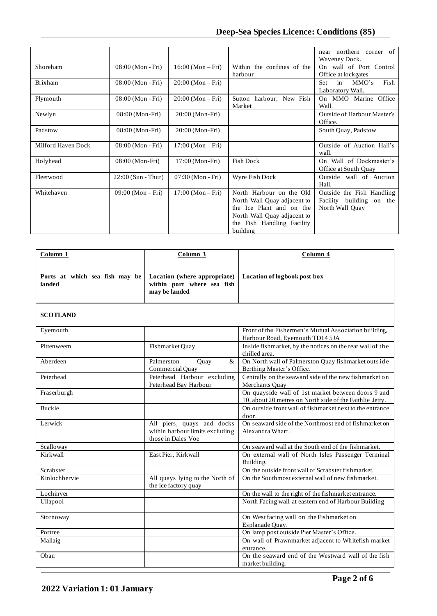|                    |                      |                   |                                                                                                                                                              | near northern corner of<br>Waveney Dock.                                 |
|--------------------|----------------------|-------------------|--------------------------------------------------------------------------------------------------------------------------------------------------------------|--------------------------------------------------------------------------|
| Shoreham           | 08:00 (Mon - Fri)    | $16:00 (Mon-Fri)$ | Within the confines of the<br>harbour                                                                                                                        | On wall of Port Control<br>Office at lockgates                           |
| <b>Brixham</b>     | 08:00 (Mon - Fri)    | $20:00 (Mon-Fri)$ |                                                                                                                                                              | Fish<br>Set<br>in<br>MMO's<br>Laboratory Wall.                           |
| Plymouth           | 08:00 (Mon - Fri)    | $20:00 (Mon-Fri)$ | Sutton harbour, New Fish<br>Market                                                                                                                           | On MMO Marine Office<br>Wall.                                            |
| Newlyn             | 08:00 (Mon-Fri)      | 20:00 (Mon-Fri)   |                                                                                                                                                              | Outside of Harbour Master's<br>Office.                                   |
| Padstow            | 08:00 (Mon-Fri)      | 20:00 (Mon-Fri)   |                                                                                                                                                              | South Quay, Padstow                                                      |
| Milford Haven Dock | 08:00 (Mon - Fri)    | $17:00 (Mon-Fri)$ |                                                                                                                                                              | Outside of Auction Hall's<br>wall.                                       |
| Holyhead           | 08:00 (Mon-Fri)      | 17:00 (Mon-Fri)   | <b>Fish Dock</b>                                                                                                                                             | On Wall of Dockmaster's<br>Office at South Quay                          |
| Fleetwood          | $22:00$ (Sun - Thur) | 07:30 (Mon - Fri) | Wyre Fish Dock                                                                                                                                               | Outside wall of Auction<br>Hall.                                         |
| Whitehaven         | $09:00$ (Mon – Fri)  | $17:00 (Mon-Fri)$ | North Harbour on the Old<br>North Wall Quay adjacent to<br>the Ice Plant and on the<br>North Wall Quay adjacent to<br>the Fish Handling Facility<br>building | Outside the Fish Handling<br>Facility building on the<br>North Wall Quay |

| Column <sub>1</sub>                      | Column 3                                                                            | Column 4                                                                                                       |
|------------------------------------------|-------------------------------------------------------------------------------------|----------------------------------------------------------------------------------------------------------------|
|                                          |                                                                                     |                                                                                                                |
| Ports at which sea fish may be<br>landed | Location (where appropriate)<br>within port where sea fish<br>may be landed         | Location of logbook post box                                                                                   |
| <b>SCOTLAND</b>                          |                                                                                     |                                                                                                                |
| Eyemouth                                 |                                                                                     | Front of the Fishermen's Mutual Association building,<br>Harbour Road, Eyemouth TD14 5JA                       |
| Pittenweem                               | Fishmarket Quay                                                                     | Inside fishmarket, by the notices on the rear wall of the<br>chilled area.                                     |
| Aberdeen                                 | Palmerston<br>$\&$<br>Quay<br>Commercial Quay                                       | On North wall of Palmerston Quay fishmarket outside<br>Berthing Master's Office.                               |
| Peterhead                                | Peterhead Harbour excluding<br>Peterhead Bay Harbour                                | Centrally on the seaward side of the new fishmarket on<br>Merchants Quay                                       |
| Fraserburgh                              |                                                                                     | On quayside wall of 1st market between doors 9 and<br>10, about 20 metres on North side of the Faithlie Jetty. |
| <b>Buckie</b>                            |                                                                                     | On outside front wall of fishmarket next to the entrance<br>door.                                              |
| Lerwick                                  | All piers, quays and docks<br>within harbour limits excluding<br>those in Dales Voe | On seaward side of the Northmost end of fishmarket on<br>Alexandra Wharf.                                      |
| Scalloway                                |                                                                                     | On seaward wall at the South end of the fishmarket.                                                            |
| Kirkwall                                 | East Pier, Kirkwall                                                                 | On external wall of North Isles Passenger Terminal<br>Building.                                                |
| Scrabster                                |                                                                                     | On the outside front wall of Scrabster fishmarket.                                                             |
| Kinlochbervie                            | All quays lying to the North of<br>the ice factory quay                             | On the Southmost external wall of new fishmarket.                                                              |
| Lochinver                                |                                                                                     | On the wall to the right of the fishmarket entrance.                                                           |
| Ullapool                                 |                                                                                     | North Facing wall at eastern end of Harbour Building                                                           |
| Stornoway                                |                                                                                     | On West facing wall on the Fishmarket on<br>Esplanade Quay.                                                    |
| Portree                                  |                                                                                     | On lamp post outside Pier Master's Office.                                                                     |
| Mallaig                                  |                                                                                     | On wall of Prawnmarket adjacent to Whitefish market<br>entrance.                                               |
| Oban                                     |                                                                                     | On the seaward end of the Westward wall of the fish<br>market building.                                        |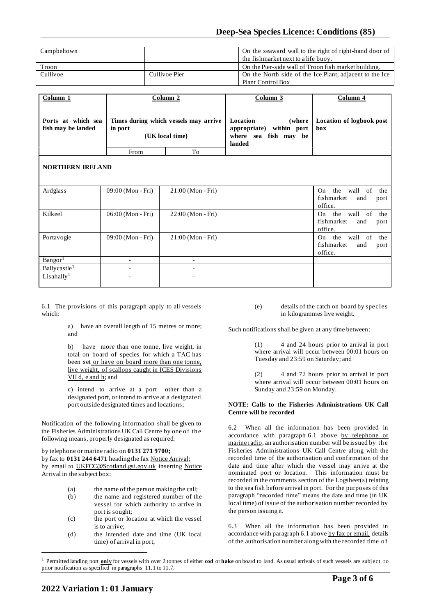| Campbeltown |               | On the seaward wall to the right of right-hand door of  |
|-------------|---------------|---------------------------------------------------------|
|             |               | the fishmarket next to a life buoy.                     |
| Troon       |               | On the Pier-side wall of Troon fish market building.    |
| Cullivoe    | Cullivoe Pier | On the North side of the Ice Plant, adjacent to the Ice |
|             |               | <b>Plant Control Box</b>                                |

| Column <sub>1</sub>                      | Column 2                                                            |    | Column 3                                                                                    | Column 4                        |
|------------------------------------------|---------------------------------------------------------------------|----|---------------------------------------------------------------------------------------------|---------------------------------|
| Ports at which sea<br>fish may be landed | Times during which vessels may arrive<br>in port<br>(UK local time) |    | Location<br>(where)<br>within port<br>appropriate)<br>fish may<br>where sea<br>be<br>landed | Location of logbook post<br>box |
|                                          | From                                                                | To |                                                                                             |                                 |
| <b>NORTHERN IRELAND</b>                  |                                                                     |    |                                                                                             |                                 |

| Ardglass                  | 09:00 (Mon - Fri) | $21:00 (Mon-Fri)$        | the wall of the<br>On.<br>fishmarket<br>and<br>port<br>office.     |
|---------------------------|-------------------|--------------------------|--------------------------------------------------------------------|
| Kilkeel                   | 06:00 (Mon - Fri) | $22:00$ (Mon - Fri)      | the wall of<br>the<br>On -<br>fishmarket<br>and<br>port<br>office. |
| Portavogie                | 09:00 (Mon - Fri) | $21:00 (Mon-Fri)$        | the wall of<br>the<br>On.<br>fishmarket<br>and<br>port<br>office.  |
| Bangor <sup>1</sup>       |                   |                          |                                                                    |
| Ballycastle <sup>1</sup>  |                   |                          |                                                                    |
| $L$ isahally <sup>1</sup> | ٠                 | $\overline{\phantom{0}}$ |                                                                    |

6.1 The provisions of this paragraph apply to all vessels which:

> a) have an overall length of 15 metres or more; and

> b) have more than one tonne, live weight, in total on board of species for which a TAC has been set or have on board more than one tonne, live weight, of scallops caught in ICES Divisions VII d, e and h; and

> c) intend to arrive at a port other than a designated port, or intend to arrive at a designated port outside designated times and locations;

Notification of the following information shall be given to the Fisheries Administrations UK Call Centre by one of the following means, properly designated as required:

by telephone or marine radio on **0131 271 9700;**

by fax to **0131 244 6471** heading the fax Notice Arrival; by email to UKFCC@Scotland.gsi.gov.uk inserting Notice Arrival in the subject box:

- (a) the name of the person making the call;
- (b) the name and registered number of the vessel for which authority to arrive in port is sought;
- (c) the port or location at which the vessel is to arrive;
- (d) the intended date and time (UK local time) of arrival in port;

(e) details of the catch on board by species in kilogrammes live weight.

Such notifications shall be given at any time between:

(1) 4 and 24 hours prior to arrival in port where arrival will occur between 00:01 hours on Tuesday and 23:59 on Saturday; and

(2) 4 and 72 hours prior to arrival in port where arrival will occur between 00:01 hours on Sunday and 23:59 on Monday.

## **NOTE: Calls to the Fisheries Administrations UK Call Centre will be recorded**

6.2 When all the information has been provided in accordance with paragraph 6.1 above by telephone or marine radio, an authorisation number will be issued by the Fisheries Administrations UK Call Centre along with the recorded time of the authorisation and confirmation of the date and time after which the vessel may arrive at the nominated port or location. This information must be recorded in the comments section of the Logsheet(s) relating to the sea fish before arrival in port. For the purposes of this paragraph "recorded time" means the date and time (in UK local time) of issue of the authorisation number recorded by the person issuing it.

6.3 When all the information has been provided in accordance with paragraph 6.1 above by fax or email, details of the authorisation number along with the recorded time o f

<sup>1</sup> Permitted landing port **only** for vessels with over 2 tonnes of either **cod** or **hake** on board to land. As usual arrivals of such vessels are subject to prior notification as specified in paragraphs 11.1 to 11.7.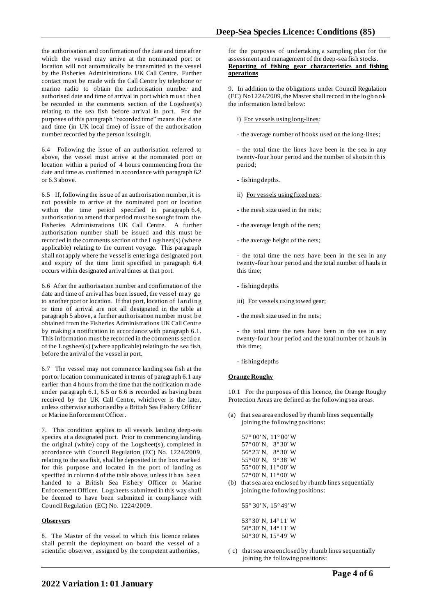the authorisation and confirmation of the date and time after which the vessel may arrive at the nominated port or location will not automatically be transmitted to the vessel by the Fisheries Administrations UK Call Centre. Further contact must be made with the Call Centre by telephone or marine radio to obtain the authorisation number and authorised date and time of arrival in port which must then be recorded in the comments section of the Logsheet(s) relating to the sea fish before arrival in port. For the purposes of this paragraph "recorded time" means the date and time (in UK local time) of issue of the authorisation number recorded by the person issuing it.

6.4 Following the issue of an authorisation referred to above, the vessel must arrive at the nominated port or location within a period of 4 hours commencing from the date and time as confirmed in accordance with paragraph 6.2 or 6.3 above.

6.5 If, following the issue of an authorisation number, it is not possible to arrive at the nominated port or location within the time period specified in paragraph 6.4, authorisation to amend that period must be sought from the Fisheries Administrations UK Call Centre. A further authorisation number shall be issued and this must be recorded in the comments section of the Logsheet(s) (where applicable) relating to the current voyage. This paragraph shall not apply where the vessel is entering a designated port and expiry of the time limit specified in paragraph 6.4 occurs within designated arrival times at that port.

6.6 After the authorisation number and confirmation of th e date and time of arrival has been issued, the vessel may go to another port or location. If that port, location of landing or time of arrival are not all designated in the table at paragraph 5 above, a further authorisation number must be obtained from the Fisheries Administrations UK Call Centre by making a notification in accordance with paragraph 6.1. This information must be recorded in the comments sectio n of the Logsheet(s) (where applicable) relating to the sea fish, before the arrival of the vessel in port.

6.7 The vessel may not commence landing sea fish at the port or location communicated in terms of paragraph 6.1 any earlier than 4 hours from the time that the notification made under paragraph 6.1, 6.5 or 6.6 is recorded as having been received by the UK Call Centre, whichever is the later, unless otherwise authorised by a British Sea Fishery Officer or Marine Enforcement Officer.

7. This condition applies to all vessels landing deep-sea species at a designated port. Prior to commencing landing, the original (white) copy of the Logsheet(s), completed in accordance with Council Regulation (EC) No. 1224/2009, relating to the sea fish, shall be deposited in the box marked for this purpose and located in the port of landing as specified in column 4 of the table above, unless it has been handed to a British Sea Fishery Officer or Marine Enforcement Officer. Logsheets submitted in this way shall be deemed to have been submitted in compliance with Council Regulation (EC) No. 1224/2009.

## **Observers**

8. The Master of the vessel to which this licence relates shall permit the deployment on board the vessel of a scientific observer, assigned by the competent authorities,

for the purposes of undertaking a sampling plan for the assessment and management of the deep-sea fish stocks. **Reporting of fishing gear characteristics and fishing operations**

9. In addition to the obligations under Council Regulation (EC) No1224/2009, the Master shall record in the lo gb o o k the information listed below:

- i) For vessels using long-lines:
- the average number of hooks used on the long-lines;

- the total time the lines have been in the sea in any twenty-four hour period and the number of shots in th is period;

- fishing depths.
- ii) For vessels using fixed nets:
- the mesh size used in the nets;
- the average length of the nets;
- the average height of the nets;

- the total time the nets have been in the sea in any twenty-four hour period and the total number of hauls in this time;

- fishing depths
- iii) For vessels using towed gear;
- the mesh size used in the nets;
- the total time the nets have been in the sea in any twenty-four hour period and the total number of hauls in this time;
- fishing depths

## **Orange Roughy**

10.1 For the purposes of this licence, the Orange Roughy Protection Areas are defined as the following sea areas:

(a) that sea area enclosed by rhumb lines sequentially joining the following positions:

|                                      | $57^{\circ}$ 00' N, $11^{\circ}$ 00' W |
|--------------------------------------|----------------------------------------|
| $57^{\circ}00'$ N,                   | $8^{\circ}30'$ W                       |
| $56^{\circ}23'$ N,                   | $8^{\circ}30'$ W                       |
| 55° 00'N.                            | $9^{\circ}38'$ W                       |
| $55^{\circ}00'$ N, $11^{\circ}00'$ W |                                        |
| $57^{\circ}00'$ N, $11^{\circ}00'$ W |                                        |

(b) that sea area enclosed by rhumb lines sequentially joining the following positions:

55° 30' N, 15° 49' W

 53° 30' N, 14° 11' W 50° 30' N, 14° 11' W 50° 30' N, 15° 49' W

( c) that sea area enclosed by rhumb lines sequentially joining the following positions: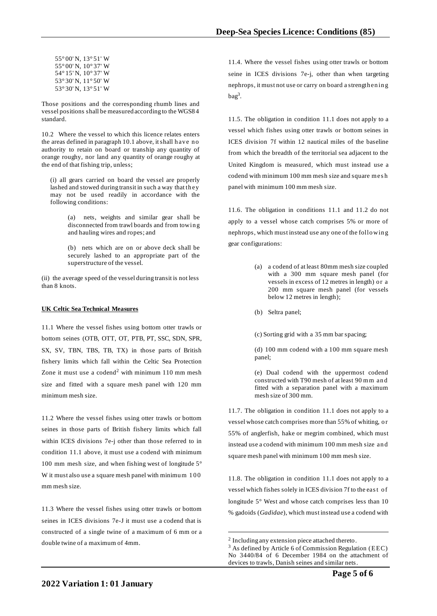55° 00' N, 13° 51' W 55° 00' N, 10° 37' W 54° 15' N, 10° 37' W 53° 30' N, 11° 50' W 53° 30' N, 13° 51' W

Those positions and the corresponding rhumb lines and vessel positions shall be measured according to the WGS8 4 standard.

10.2 Where the vessel to which this licence relates enters the areas defined in paragraph 10.1 above, it shall have no authority to retain on board or tranship any quantity of orange roughy, nor land any quantity of orange roughy at the end of that fishing trip, unless;

(i) all gears carried on board the vessel are properly lashed and stowed during transit in such a way that they may not be used readily in accordance with the following conditions:

> (a) nets, weights and similar gear shall be disconnected from trawl boards and from towin g and hauling wires and ropes; and

> (b) nets which are on or above deck shall be securely lashed to an appropriate part of the superstructure of the vessel.

(ii) the average speed of the vessel during transit is not less than 8 knots.

## **UK Celtic Sea Technical Measures**

11.1 Where the vessel fishes using bottom otter trawls or bottom seines (OTB, OTT, OT, PTB, PT, SSC, SDN, SPR, SX, SV, TBN, TBS, TB, TX) in those parts of British fishery limits which fall within the Celtic Sea Protection Zone it must use a codend<sup>2</sup> with minimum  $110$  mm mesh size and fitted with a square mesh panel with 120 mm minimum mesh size.

11.2 Where the vessel fishes using otter trawls or bottom seines in those parts of British fishery limits which fall within ICES divisions 7e-j other than those referred to in condition 11.1 above, it must use a codend with minimum 100 mm mesh size, and when fishing west of longitude 5° W it must also use a square mesh panel with minimum 100 mm mesh size.

11.3 Where the vessel fishes using otter trawls or bottom seines in ICES divisions 7e-J it must use a codend that is constructed of a single twine of a maximum of 6 mm or a double twine of a maximum of 4mm.

11.4. Where the vessel fishes using otter trawls or bottom seine in ICES divisions 7e-j, other than when targeting nephrops, it must not use or carry on board a strength en in g bag<sup>3</sup> .

11.5. The obligation in condition 11.1 does not apply to a vessel which fishes using otter trawls or bottom seines in ICES division 7f within 12 nautical miles of the baseline from which the breadth of the territorial sea adjacent to the United Kingdom is measured, which must instead use a codend with minimum 100 mm mesh size and square mesh panel with minimum 100 mm mesh size.

11.6. The obligation in conditions 11.1 and 11.2 do not apply to a vessel whose catch comprises 5% or more of nephrops, which must instead use any one of the follo win g gear configurations:

- (a) a codend of at least 80mm mesh size coupled with a 300 mm square mesh panel (for vessels in excess of 12 metres in length) or a 200 mm square mesh panel (for vessels below 12 metres in length);
- (b) Seltra panel;
- (c) Sorting grid with a 35 mm bar spacing;

(d) 100 mm codend with a 100 mm square mesh panel;

(e) Dual codend with the uppermost codend constructed with T90 mesh of at least 90 mm and fitted with a separation panel with a maximum mesh size of 300 mm.

11.7. The obligation in condition 11.1 does not apply to a vessel whose catch comprises more than 55% of whiting, o r 55% of anglerfish, hake or megrim combined, which must instead use a codend with minimum 100 mm mesh size an d square mesh panel with minimum 100 mm mesh size.

11.8. The obligation in condition 11.1 does not apply to a vessel which fishes solely in ICES division 7f to the east of longitude 5° West and whose catch comprises less than 10 % gadoids (*Gadidae*), which must instead use a codend with

<sup>&</sup>lt;sup>2</sup> Including any extension piece attached thereto.

 $3$  As defined by Article 6 of Commission Regulation (EEC) No 3440/84 of 6 December 1984 on the attachment of devices to trawls, Danish seines and similar nets.